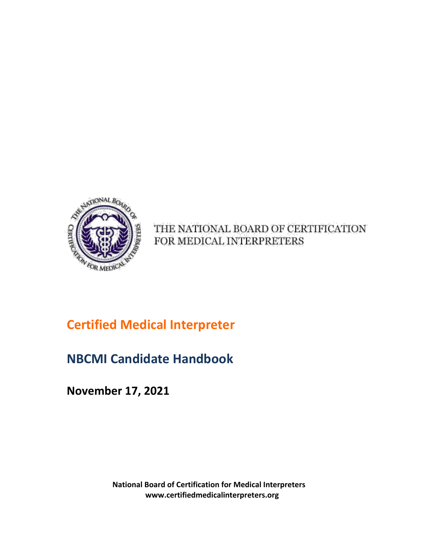

THE NATIONAL BOARD OF CERTIFICATION FOR MEDICAL INTERPRETERS

# **Certified Medical Interpreter**

# **NBCMI Candidate Handbook**

**November 17, 2021**

**National Board of Certification for Medical Interpreters www.certifiedmedicalinterpreters.org**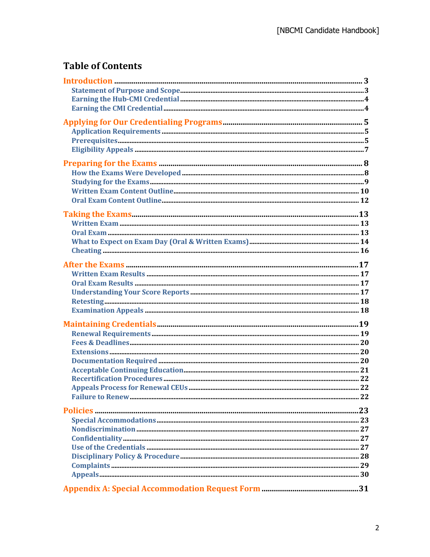## **Table of Contents**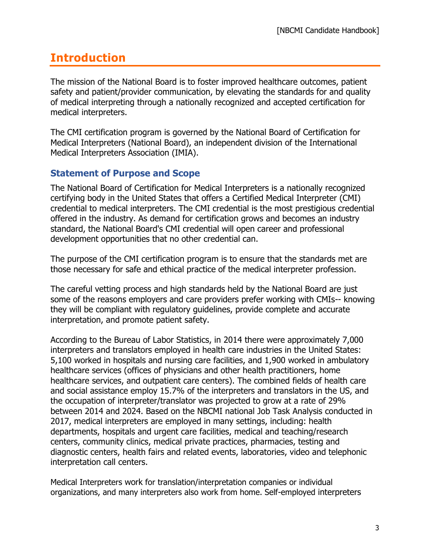# **Introduction**

The mission of the National Board is to foster improved healthcare outcomes, patient safety and patient/provider communication, by elevating the standards for and quality of medical interpreting through a nationally recognized and accepted certification for medical interpreters.

The CMI certification program is governed by the National Board of Certification for Medical Interpreters (National Board), an independent division of the International Medical Interpreters Association (IMIA).

## **Statement of Purpose and Scope**

The National Board of Certification for Medical Interpreters is a nationally recognized certifying body in the United States that offers a Certified Medical Interpreter (CMI) credential to medical interpreters. The CMI credential is the most prestigious credential offered in the industry. As demand for certification grows and becomes an industry standard, the National Board's CMI credential will open career and professional development opportunities that no other credential can.

The purpose of the CMI certification program is to ensure that the standards met are those necessary for safe and ethical practice of the medical interpreter profession.

The careful vetting process and high standards held by the National Board are just some of the reasons employers and care providers prefer working with CMIs-- knowing they will be compliant with regulatory guidelines, provide complete and accurate interpretation, and promote patient safety.

According to the Bureau of Labor Statistics, in 2014 there were approximately 7,000 interpreters and translators employed in health care industries in the United States: 5,100 worked in hospitals and nursing care facilities, and 1,900 worked in ambulatory healthcare services (offices of physicians and other health practitioners, home healthcare services, and outpatient care centers). The combined fields of health care and social assistance employ 15.7% of the interpreters and translators in the US, and the occupation of interpreter/translator was projected to grow at a rate of 29% between 2014 and 2024. Based on the NBCMI national Job Task Analysis conducted in 2017, medical interpreters are employed in many settings, including: health departments, hospitals and urgent care facilities, medical and teaching/research centers, community clinics, medical private practices, pharmacies, testing and diagnostic centers, health fairs and related events, laboratories, video and telephonic interpretation call centers.

Medical Interpreters work for translation/interpretation companies or individual organizations, and many interpreters also work from home. Self-employed interpreters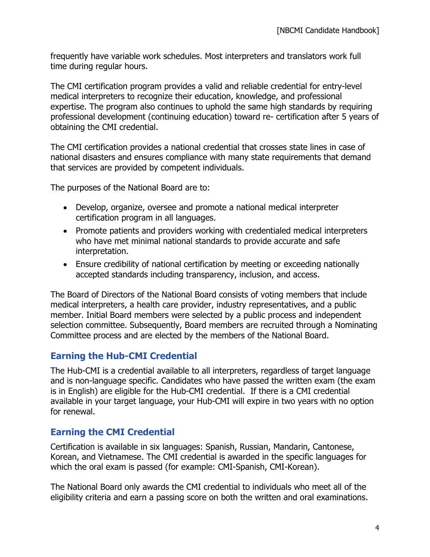frequently have variable work schedules. Most interpreters and translators work full time during regular hours.

The CMI certification program provides a valid and reliable credential for entry-level medical interpreters to recognize their education, knowledge, and professional expertise. The program also continues to uphold the same high standards by requiring professional development (continuing education) toward re- certification after 5 years of obtaining the CMI credential.

The CMI certification provides a national credential that crosses state lines in case of national disasters and ensures compliance with many state requirements that demand that services are provided by competent individuals.

The purposes of the National Board are to:

- Develop, organize, oversee and promote a national medical interpreter certification program in all languages.
- Promote patients and providers working with credentialed medical interpreters who have met minimal national standards to provide accurate and safe interpretation.
- Ensure credibility of national certification by meeting or exceeding nationally accepted standards including transparency, inclusion, and access.

The Board of Directors of the National Board consists of voting members that include medical interpreters, a health care provider, industry representatives, and a public member. Initial Board members were selected by a public process and independent selection committee. Subsequently, Board members are recruited through a Nominating Committee process and are elected by the members of the National Board.

## **Earning the Hub-CMI Credential**

The Hub-CMI is a credential available to all interpreters, regardless of target language and is non-language specific. Candidates who have passed the written exam (the exam is in English) are eligible for the Hub-CMI credential. If there is a CMI credential available in your target language, your Hub-CMI will expire in two years with no option for renewal.

## **Earning the CMI Credential**

Certification is available in six languages: Spanish, Russian, Mandarin, Cantonese, Korean, and Vietnamese. The CMI credential is awarded in the specific languages for which the oral exam is passed (for example: CMI-Spanish, CMI-Korean).

The National Board only awards the CMI credential to individuals who meet all of the eligibility criteria and earn a passing score on both the written and oral examinations.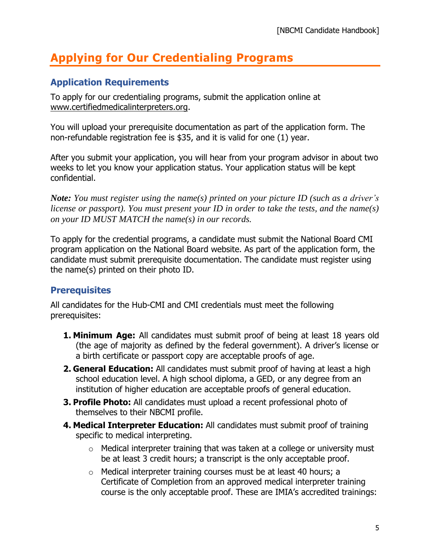## **Applying for Our Credentialing Programs**

## **Application Requirements**

To apply for our credentialing programs, submit the application online at www.certifiedmedicalinterpreters.org.

You will upload your prerequisite documentation as part of the application form. The non-refundable registration fee is \$35, and it is valid for one (1) year.

After you submit your application, you will hear from your program advisor in about two weeks to let you know your application status. Your application status will be kept confidential.

*Note: You must register using the name(s) printed on your picture ID (such as a driver's license or passport). You must present your ID in order to take the tests, and the name(s) on your ID MUST MATCH the name(s) in our records.*

To apply for the credential programs, a candidate must submit the National Board CMI program application on the National Board website. As part of the application form, the candidate must submit prerequisite documentation. The candidate must register using the name(s) printed on their photo ID.

## **Prerequisites**

All candidates for the Hub-CMI and CMI credentials must meet the following prerequisites:

- **1. Minimum Age:** All candidates must submit proof of being at least 18 years old (the age of majority as defined by the federal government). A driver's license or a birth certificate or passport copy are acceptable proofs of age.
- **2. General Education:** All candidates must submit proof of having at least a high school education level. A high school diploma, a GED, or any degree from an institution of higher education are acceptable proofs of general education.
- **3. Profile Photo:** All candidates must upload a recent professional photo of themselves to their NBCMI profile.
- **4. Medical Interpreter Education:** All candidates must submit proof of training specific to medical interpreting.
	- $\circ$  Medical interpreter training that was taken at a college or university must be at least 3 credit hours; a transcript is the only acceptable proof.
	- o Medical interpreter training courses must be at least 40 hours; a Certificate of Completion from an approved medical interpreter training course is the only acceptable proof. These are IMIA's accredited trainings: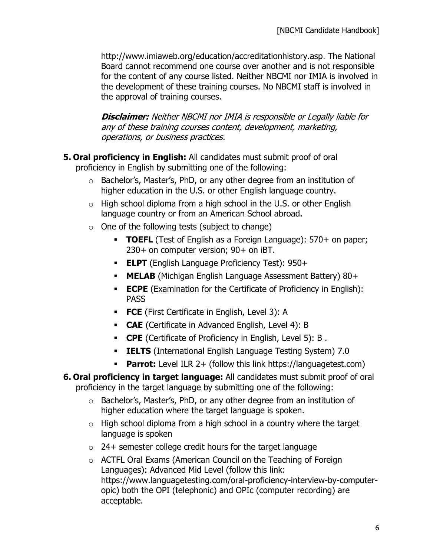http://www.imiaweb.org/education/accreditationhistory.asp. The National Board cannot recommend one course over another and is not responsible for the content of any course listed. Neither NBCMI nor IMIA is involved in the development of these training courses. No NBCMI staff is involved in the approval of training courses.

**Disclaimer:** Neither NBCMI nor IMIA is responsible or Legally liable for any of these training courses content, development, marketing, operations, or business practices.

- **5. Oral proficiency in English:** All candidates must submit proof of oral proficiency in English by submitting one of the following:
	- $\circ$  Bachelor's, Master's, PhD, or any other degree from an institution of higher education in the U.S. or other English language country.
	- $\circ$  High school diploma from a high school in the U.S. or other English language country or from an American School abroad.
	- $\circ$  One of the following tests (subject to change)
		- **TOEFL** (Test of English as a Foreign Language): 570+ on paper; 230+ on computer version; 90+ on iBT.
		- **ELPT** (English Language Proficiency Test): 950+
		- **MELAB** (Michigan English Language Assessment Battery) 80+
		- **ECPE** (Examination for the Certificate of Proficiency in English): **PASS**
		- **FCE** (First Certificate in English, Level 3): A
		- **CAE** (Certificate in Advanced English, Level 4): B
		- **CPE** (Certificate of Proficiency in English, Level 5): B .
		- **IELTS** (International English Language Testing System) 7.0
		- **Parrot:** Level ILR 2+ (follow this link https://languagetest.com)
- **6. Oral proficiency in target language:** All candidates must submit proof of oral proficiency in the target language by submitting one of the following:
	- o Bachelor's, Master's, PhD, or any other degree from an institution of higher education where the target language is spoken.
	- $\circ$  High school diploma from a high school in a country where the target language is spoken
	- $\circ$  24+ semester college credit hours for the target language
	- o ACTFL Oral Exams (American Council on the Teaching of Foreign Languages): Advanced Mid Level (follow this link: https://www.languagetesting.com/oral-proficiency-interview-by-computeropic) both the OPI (telephonic) and OPIc (computer recording) are acceptable.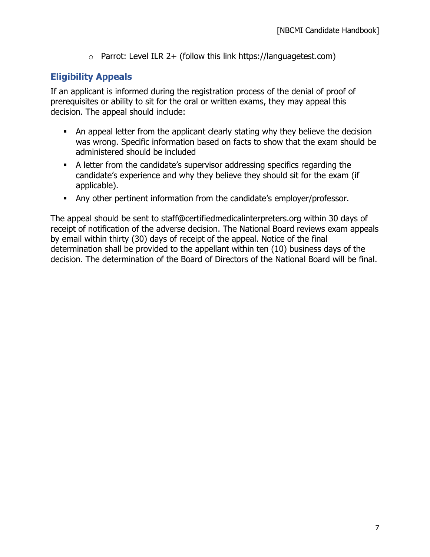$\circ$  Parrot: Level ILR 2+ (follow this link https://languagetest.com)

## **Eligibility Appeals**

If an applicant is informed during the registration process of the denial of proof of prerequisites or ability to sit for the oral or written exams, they may appeal this decision. The appeal should include:

- **•** An appeal letter from the applicant clearly stating why they believe the decision was wrong. Specific information based on facts to show that the exam should be administered should be included
- A letter from the candidate's supervisor addressing specifics regarding the candidate's experience and why they believe they should sit for the exam (if applicable).
- Any other pertinent information from the candidate's employer/professor.

The appeal should be sent to staff@certifiedmedicalinterpreters.org within 30 days of receipt of notification of the adverse decision. The National Board reviews exam appeals by email within thirty (30) days of receipt of the appeal. Notice of the final determination shall be provided to the appellant within ten (10) business days of the decision. The determination of the Board of Directors of the National Board will be final.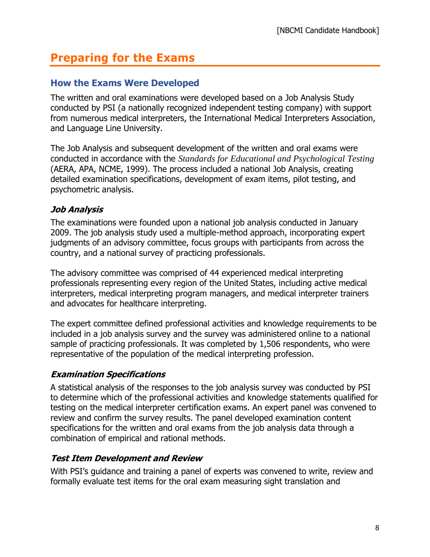## **Preparing for the Exams**

## **How the Exams Were Developed**

The written and oral examinations were developed based on a Job Analysis Study conducted by PSI (a nationally recognized independent testing company) with support from numerous medical interpreters, the International Medical Interpreters Association, and Language Line University.

The Job Analysis and subsequent development of the written and oral exams were conducted in accordance with the *Standards for Educational and Psychological Testing* (AERA, APA, NCME, 1999). The process included a national Job Analysis, creating detailed examination specifications, development of exam items, pilot testing, and psychometric analysis.

### **Job Analysis**

The examinations were founded upon a national job analysis conducted in January 2009. The job analysis study used a multiple-method approach, incorporating expert judgments of an advisory committee, focus groups with participants from across the country, and a national survey of practicing professionals.

The advisory committee was comprised of 44 experienced medical interpreting professionals representing every region of the United States, including active medical interpreters, medical interpreting program managers, and medical interpreter trainers and advocates for healthcare interpreting.

The expert committee defined professional activities and knowledge requirements to be included in a job analysis survey and the survey was administered online to a national sample of practicing professionals. It was completed by 1,506 respondents, who were representative of the population of the medical interpreting profession.

#### **Examination Specifications**

A statistical analysis of the responses to the job analysis survey was conducted by PSI to determine which of the professional activities and knowledge statements qualified for testing on the medical interpreter certification exams. An expert panel was convened to review and confirm the survey results. The panel developed examination content specifications for the written and oral exams from the job analysis data through a combination of empirical and rational methods.

#### **Test Item Development and Review**

With PSI's guidance and training a panel of experts was convened to write, review and formally evaluate test items for the oral exam measuring sight translation and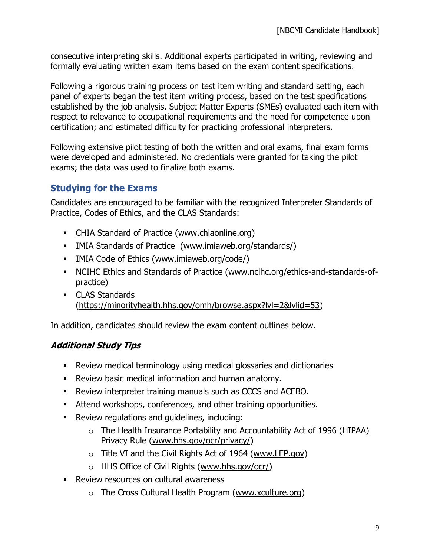consecutive interpreting skills. Additional experts participated in writing, reviewing and formally evaluating written exam items based on the exam content specifications.

Following a rigorous training process on test item writing and standard setting, each panel of experts began the test item writing process, based on the test specifications established by the job analysis. Subject Matter Experts (SMEs) evaluated each item with respect to relevance to occupational requirements and the need for competence upon certification; and estimated difficulty for practicing professional interpreters.

Following extensive pilot testing of both the written and oral exams, final exam forms were developed and administered. No credentials were granted for taking the pilot exams; the data was used to finalize both exams.

## **Studying for the Exams**

Candidates are encouraged to be familiar with the recognized Interpreter Standards of Practice, Codes of Ethics, and the CLAS Standards:

- CHIA Standard of Practice (www.chiaonline.org)
- **EXECT** IMIA Standards of Practice (www.imiaweb.org/standards/)
- **IMIA Code of Ethics (www.imiaweb.org/code/)**
- NCIHC Ethics and Standards of Practice (www.ncihc.org/ethics-and-standards-ofpractice)
- CLAS Standards (https://minorityhealth.hhs.gov/omh/browse.aspx?lvl=2&lvlid=53)

In addition, candidates should review the exam content outlines below.

## **Additional Study Tips**

- Review medical terminology using medical glossaries and dictionaries
- Review basic medical information and human anatomy.
- Review interpreter training manuals such as CCCS and ACEBO.
- **EXECT** Attend workshops, conferences, and other training opportunities.
- Review regulations and guidelines, including:
	- o The Health Insurance Portability and Accountability Act of 1996 (HIPAA) Privacy Rule (www.hhs.gov/ocr/privacy/)
	- $\circ$  Title VI and the Civil Rights Act of 1964 (www.LEP.gov)
	- o HHS Office of Civil Rights (www.hhs.gov/ocr/)
- Review resources on cultural awareness
	- o The Cross Cultural Health Program (www.xculture.org)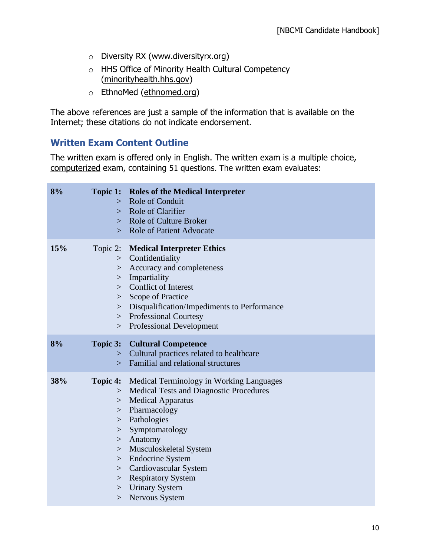- o Diversity RX (www.diversityrx.org)
- o HHS Office of Minority Health Cultural Competency (minorityhealth.hhs.gov)
- o EthnoMed (ethnomed.org)

The above references are just a sample of the information that is available on the Internet; these citations do not indicate endorsement.

#### **Written Exam Content Outline**

The written exam is offered only in English. The written exam is a multiple choice, computerized exam, containing 51 questions. The written exam evaluates:

| 8%  | $\gt$                                                                       | <b>Topic 1:</b> Roles of the Medical Interpreter<br>> Role of Conduit<br>Role of Clarifier<br>> Role of Culture Broker<br>> Role of Patient Advocate                                                                                                          |
|-----|-----------------------------------------------------------------------------|---------------------------------------------------------------------------------------------------------------------------------------------------------------------------------------------------------------------------------------------------------------|
| 15% | Topic 2:<br>><br>><br>$\geq$<br>><br>$>$ $\overline{\phantom{0}}$<br>$\geq$ | <b>Medical Interpreter Ethics</b><br>Confidentiality<br>Accuracy and completeness<br>Impartiality<br>> Conflict of Interest<br>Scope of Practice<br>Disqualification/Impediments to Performance<br>> Professional Courtesy<br><b>Professional Development</b> |
| 8%  | Topic 3:<br>$\geq$<br>$\gt$                                                 | <b>Cultural Competence</b><br>Cultural practices related to healthcare<br>Familial and relational structures                                                                                                                                                  |
| 38% | Topic 4:<br>$\geq$<br>$\geq$<br>$>$ $\overline{\phantom{0}}$                | Medical Terminology in Working Languages<br>> Medical Tests and Diagnostic Procedures<br><b>Medical Apparatus</b><br>Pharmacology<br>> Pathologies<br>Symptomatology                                                                                          |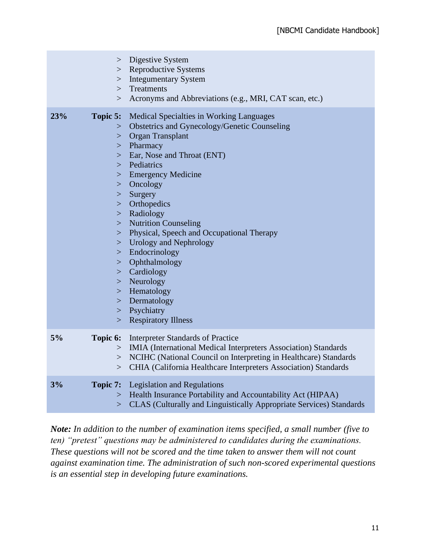|     | ><br>$>$ $\overline{\phantom{0}}$<br>><br>>                                                                                                 | Digestive System<br><b>Reproductive Systems</b><br><b>Integumentary System</b><br>Treatments                                                                                                                                                                                                                                                                                                                                                                                                                                          |
|-----|---------------------------------------------------------------------------------------------------------------------------------------------|---------------------------------------------------------------------------------------------------------------------------------------------------------------------------------------------------------------------------------------------------------------------------------------------------------------------------------------------------------------------------------------------------------------------------------------------------------------------------------------------------------------------------------------|
|     | >                                                                                                                                           | Acronyms and Abbreviations (e.g., MRI, CAT scan, etc.)                                                                                                                                                                                                                                                                                                                                                                                                                                                                                |
| 23% | Topic 5:<br>><br>><br>><br>><br>$>$ $\overline{\phantom{0}}$<br>><br>><br>><br>$>$ $\overline{\phantom{0}}$<br>$>$ $\overline{\phantom{0}}$ | <b>Medical Specialties in Working Languages</b><br>Obstetrics and Gynecology/Genetic Counseling<br><b>Organ Transplant</b><br>$>$ Pharmacy<br>Ear, Nose and Throat (ENT)<br>> Pediatrics<br><b>Emergency Medicine</b><br>Oncology<br>Surgery<br>Orthopedics<br>> Radiology<br><b>Nutrition Counseling</b><br>> Physical, Speech and Occupational Therapy<br>> Urology and Nephrology<br>$>$ Endocrinology<br>Ophthalmology<br>Cardiology<br>$>$ Neurology<br>> Hematology<br>> Dermatology<br>$>$ Psychiatry<br>> Respiratory Illness |
| 5%  | Topic 6:<br>><br>>                                                                                                                          | <b>Interpreter Standards of Practice</b><br>> IMIA (International Medical Interpreters Association) Standards<br>NCIHC (National Council on Interpreting in Healthcare) Standards<br>CHIA (California Healthcare Interpreters Association) Standards                                                                                                                                                                                                                                                                                  |
| 3%  | Topic 7:<br>$>$ $\overline{\phantom{0}}$<br>$\geq$                                                                                          | <b>Legislation and Regulations</b><br>Health Insurance Portability and Accountability Act (HIPAA)<br>CLAS (Culturally and Linguistically Appropriate Services) Standards                                                                                                                                                                                                                                                                                                                                                              |

*Note: In addition to the number of examination items specified, a small number (five to ten) "pretest" questions may be administered to candidates during the examinations. These questions will not be scored and the time taken to answer them will not count against examination time. The administration of such non-scored experimental questions is an essential step in developing future examinations.*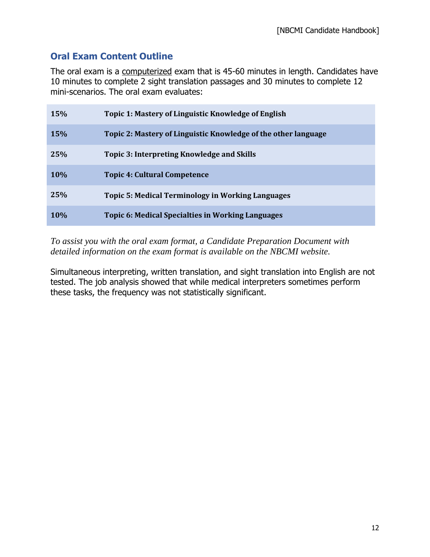## **Oral Exam Content Outline**

The oral exam is a computerized exam that is 45-60 minutes in length. Candidates have 10 minutes to complete 2 sight translation passages and 30 minutes to complete 12 mini-scenarios. The oral exam evaluates:

| <b>15%</b> | Topic 1: Mastery of Linguistic Knowledge of English            |
|------------|----------------------------------------------------------------|
| <b>15%</b> | Topic 2: Mastery of Linguistic Knowledge of the other language |
| 25%        | Topic 3: Interpreting Knowledge and Skills                     |
| <b>10%</b> | <b>Topic 4: Cultural Competence</b>                            |
| 25%        | <b>Topic 5: Medical Terminology in Working Languages</b>       |
| 10%        | Topic 6: Medical Specialties in Working Languages              |

*To assist you with the oral exam format, a Candidate Preparation Document with detailed information on the exam format is available on the NBCMI website.*

Simultaneous interpreting, written translation, and sight translation into English are not tested. The job analysis showed that while medical interpreters sometimes perform these tasks, the frequency was not statistically significant.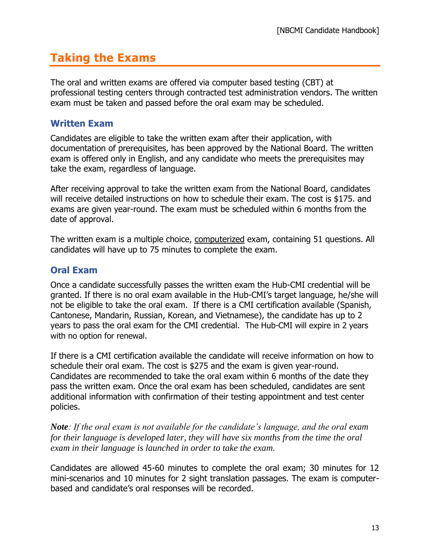## **Taking the Exams**

The oral and written exams are offered via computer based testing (CBT) at professional testing centers through contracted test administration vendors. The written exam must be taken and passed before the oral exam may be scheduled.

## **Written Exam**

Candidates are eligible to take the written exam after their application, with documentation of prerequisites, has been approved by the National Board. The written exam is offered only in English, and any candidate who meets the prerequisites may take the exam, regardless of language.

After receiving approval to take the written exam from the National Board, candidates will receive detailed instructions on how to schedule their exam. The cost is \$175. and exams are given year-round. The exam must be scheduled within 6 months from the date of approval.

The written exam is a multiple choice, computerized exam, containing 51 questions. All candidates will have up to 75 minutes to complete the exam.

## **Oral Exam**

Once a candidate successfully passes the written exam the Hub-CMI credential will be granted. If there is no oral exam available in the Hub-CMI's target language, he/she will not be eligible to take the oral exam. If there is a CMI certification available (Spanish, Cantonese, Mandarin, Russian, Korean, and Vietnamese), the candidate has up to 2 years to pass the oral exam for the CMI credential. The Hub-CMI will expire in 2 years with no option for renewal.

If there is a CMI certification available the candidate will receive information on how to schedule their oral exam. The cost is \$275 and the exam is given year-round. Candidates are recommended to take the oral exam within 6 months of the date they pass the written exam. Once the oral exam has been scheduled, candidates are sent additional information with confirmation of their testing appointment and test center policies.

*Note: If the oral exam is not available for the candidate's language, and the oral exam for their language is developed later, they will have six months from the time the oral exam in their language is launched in order to take the exam.*

Candidates are allowed 45-60 minutes to complete the oral exam; 30 minutes for 12 mini-scenarios and 10 minutes for 2 sight translation passages. The exam is computerbased and candidate's oral responses will be recorded.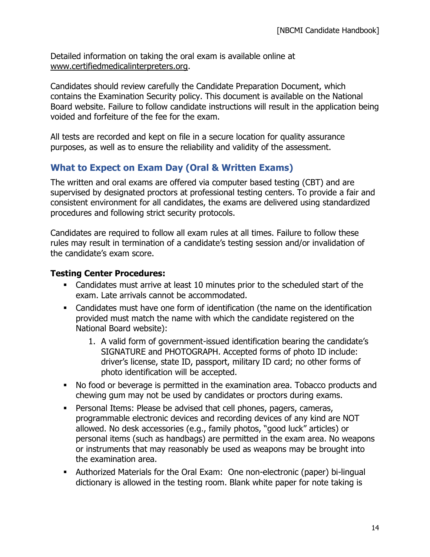Detailed information on taking the oral exam is available online at www.certifiedmedicalinterpreters.org.

Candidates should review carefully the Candidate Preparation Document, which contains the Examination Security policy. This document is available on the National Board website. Failure to follow candidate instructions will result in the application being voided and forfeiture of the fee for the exam.

All tests are recorded and kept on file in a secure location for quality assurance purposes, as well as to ensure the reliability and validity of the assessment.

## **What to Expect on Exam Day (Oral & Written Exams)**

The written and oral exams are offered via computer based testing (CBT) and are supervised by designated proctors at professional testing centers. To provide a fair and consistent environment for all candidates, the exams are delivered using standardized procedures and following strict security protocols.

Candidates are required to follow all exam rules at all times. Failure to follow these rules may result in termination of a candidate's testing session and/or invalidation of the candidate's exam score.

### **Testing Center Procedures:**

- Candidates must arrive at least 10 minutes prior to the scheduled start of the exam. Late arrivals cannot be accommodated.
- Candidates must have one form of identification (the name on the identification provided must match the name with which the candidate registered on the National Board website):
	- 1. A valid form of government-issued identification bearing the candidate's SIGNATURE and PHOTOGRAPH. Accepted forms of photo ID include: driver's license, state ID, passport, military ID card; no other forms of photo identification will be accepted.
- No food or beverage is permitted in the examination area. Tobacco products and chewing gum may not be used by candidates or proctors during exams.
- **•** Personal Items: Please be advised that cell phones, pagers, cameras, programmable electronic devices and recording devices of any kind are NOT allowed. No desk accessories (e.g., family photos, "good luck" articles) or personal items (such as handbags) are permitted in the exam area. No weapons or instruments that may reasonably be used as weapons may be brought into the examination area.
- Authorized Materials for the Oral Exam: One non-electronic (paper) bi-lingual dictionary is allowed in the testing room. Blank white paper for note taking is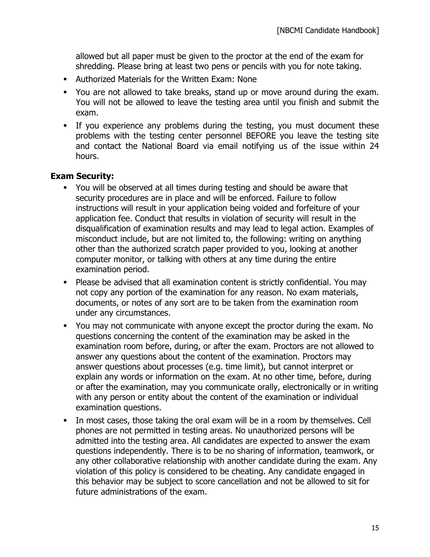allowed but all paper must be given to the proctor at the end of the exam for shredding. Please bring at least two pens or pencils with you for note taking.

- Authorized Materials for the Written Exam: None
- You are not allowed to take breaks, stand up or move around during the exam. You will not be allowed to leave the testing area until you finish and submit the exam.
- **•** If you experience any problems during the testing, you must document these problems with the testing center personnel BEFORE you leave the testing site and contact the National Board via email notifying us of the issue within 24 hours.

#### **Exam Security:**

- You will be observed at all times during testing and should be aware that security procedures are in place and will be enforced. Failure to follow instructions will result in your application being voided and forfeiture of your application fee. Conduct that results in violation of security will result in the disqualification of examination results and may lead to legal action. Examples of misconduct include, but are not limited to, the following: writing on anything other than the authorized scratch paper provided to you, looking at another computer monitor, or talking with others at any time during the entire examination period.
- Please be advised that all examination content is strictly confidential. You may not copy any portion of the examination for any reason. No exam materials, documents, or notes of any sort are to be taken from the examination room under any circumstances.
- You may not communicate with anyone except the proctor during the exam. No questions concerning the content of the examination may be asked in the examination room before, during, or after the exam. Proctors are not allowed to answer any questions about the content of the examination. Proctors may answer questions about processes (e.g. time limit), but cannot interpret or explain any words or information on the exam. At no other time, before, during or after the examination, may you communicate orally, electronically or in writing with any person or entity about the content of the examination or individual examination questions.
- In most cases, those taking the oral exam will be in a room by themselves. Cell phones are not permitted in testing areas. No unauthorized persons will be admitted into the testing area. All candidates are expected to answer the exam questions independently. There is to be no sharing of information, teamwork, or any other collaborative relationship with another candidate during the exam. Any violation of this policy is considered to be cheating. Any candidate engaged in this behavior may be subject to score cancellation and not be allowed to sit for future administrations of the exam.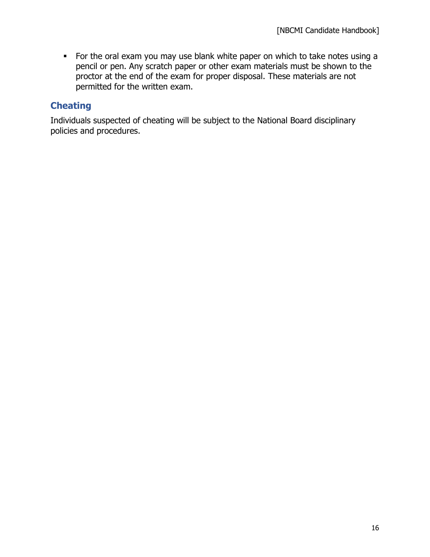**•** For the oral exam you may use blank white paper on which to take notes using a pencil or pen. Any scratch paper or other exam materials must be shown to the proctor at the end of the exam for proper disposal. These materials are not permitted for the written exam.

## **Cheating**

Individuals suspected of cheating will be subject to the National Board disciplinary policies and procedures.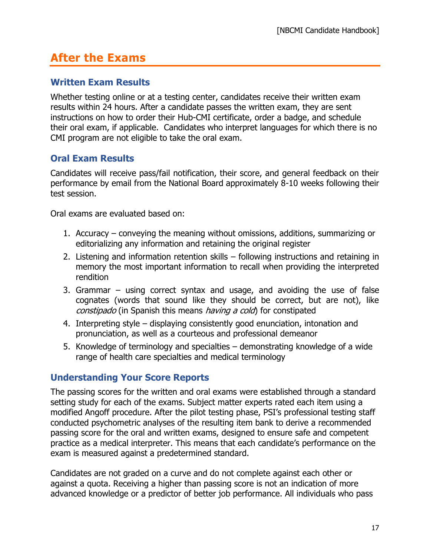## **After the Exams**

### **Written Exam Results**

Whether testing online or at a testing center, candidates receive their written exam results within 24 hours. After a candidate passes the written exam, they are sent instructions on how to order their Hub-CMI certificate, order a badge, and schedule their oral exam, if applicable. Candidates who interpret languages for which there is no CMI program are not eligible to take the oral exam.

## **Oral Exam Results**

Candidates will receive pass/fail notification, their score, and general feedback on their performance by email from the National Board approximately 8-10 weeks following their test session.

Oral exams are evaluated based on:

- 1. Accuracy conveying the meaning without omissions, additions, summarizing or editorializing any information and retaining the original register
- 2. Listening and information retention skills following instructions and retaining in memory the most important information to recall when providing the interpreted rendition
- 3. Grammar using correct syntax and usage, and avoiding the use of false cognates (words that sound like they should be correct, but are not), like constipado (in Spanish this means having a cold) for constipated
- 4. Interpreting style displaying consistently good enunciation, intonation and pronunciation, as well as a courteous and professional demeanor
- 5. Knowledge of terminology and specialties demonstrating knowledge of a wide range of health care specialties and medical terminology

#### **Understanding Your Score Reports**

The passing scores for the written and oral exams were established through a standard setting study for each of the exams. Subject matter experts rated each item using a modified Angoff procedure. After the pilot testing phase, PSI's professional testing staff conducted psychometric analyses of the resulting item bank to derive a recommended passing score for the oral and written exams, designed to ensure safe and competent practice as a medical interpreter. This means that each candidate's performance on the exam is measured against a predetermined standard.

Candidates are not graded on a curve and do not complete against each other or against a quota. Receiving a higher than passing score is not an indication of more advanced knowledge or a predictor of better job performance. All individuals who pass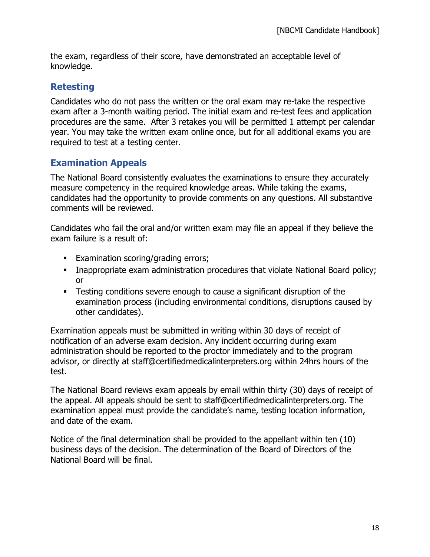the exam, regardless of their score, have demonstrated an acceptable level of knowledge.

## **Retesting**

Candidates who do not pass the written or the oral exam may re-take the respective exam after a 3-month waiting period. The initial exam and re-test fees and application procedures are the same. After 3 retakes you will be permitted 1 attempt per calendar year. You may take the written exam online once, but for all additional exams you are required to test at a testing center.

## **Examination Appeals**

The National Board consistently evaluates the examinations to ensure they accurately measure competency in the required knowledge areas. While taking the exams, candidates had the opportunity to provide comments on any questions. All substantive comments will be reviewed.

Candidates who fail the oral and/or written exam may file an appeal if they believe the exam failure is a result of:

- **Examination scoring/grading errors;**
- Inappropriate exam administration procedures that violate National Board policy; or
- **EXECT** Testing conditions severe enough to cause a significant disruption of the examination process (including environmental conditions, disruptions caused by other candidates).

Examination appeals must be submitted in writing within 30 days of receipt of notification of an adverse exam decision. Any incident occurring during exam administration should be reported to the proctor immediately and to the program advisor, or directly at staff@certifiedmedicalinterpreters.org within 24hrs hours of the test.

The National Board reviews exam appeals by email within thirty (30) days of receipt of the appeal. All appeals should be sent to staff@certifiedmedicalinterpreters.org. The examination appeal must provide the candidate's name, testing location information, and date of the exam.

Notice of the final determination shall be provided to the appellant within ten (10) business days of the decision. The determination of the Board of Directors of the National Board will be final.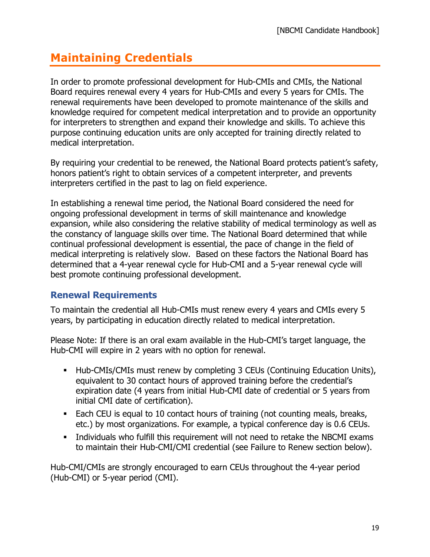# **Maintaining Credentials**

In order to promote professional development for Hub-CMIs and CMIs, the National Board requires renewal every 4 years for Hub-CMIs and every 5 years for CMIs. The renewal requirements have been developed to promote maintenance of the skills and knowledge required for competent medical interpretation and to provide an opportunity for interpreters to strengthen and expand their knowledge and skills. To achieve this purpose continuing education units are only accepted for training directly related to medical interpretation.

By requiring your credential to be renewed, the National Board protects patient's safety, honors patient's right to obtain services of a competent interpreter, and prevents interpreters certified in the past to lag on field experience.

In establishing a renewal time period, the National Board considered the need for ongoing professional development in terms of skill maintenance and knowledge expansion, while also considering the relative stability of medical terminology as well as the constancy of language skills over time. The National Board determined that while continual professional development is essential, the pace of change in the field of medical interpreting is relatively slow. Based on these factors the National Board has determined that a 4-year renewal cycle for Hub-CMI and a 5-year renewal cycle will best promote continuing professional development.

## **Renewal Requirements**

To maintain the credential all Hub-CMIs must renew every 4 years and CMIs every 5 years, by participating in education directly related to medical interpretation.

Please Note: If there is an oral exam available in the Hub-CMI's target language, the Hub-CMI will expire in 2 years with no option for renewal.

- Hub-CMIs/CMIs must renew by completing 3 CEUs (Continuing Education Units), equivalent to 30 contact hours of approved training before the credential's expiration date (4 years from initial Hub-CMI date of credential or 5 years from initial CMI date of certification).
- Each CEU is equal to 10 contact hours of training (not counting meals, breaks, etc.) by most organizations. For example, a typical conference day is 0.6 CEUs.
- Individuals who fulfill this requirement will not need to retake the NBCMI exams to maintain their Hub-CMI/CMI credential (see Failure to Renew section below).

Hub-CMI/CMIs are strongly encouraged to earn CEUs throughout the 4-year period (Hub-CMI) or 5-year period (CMI).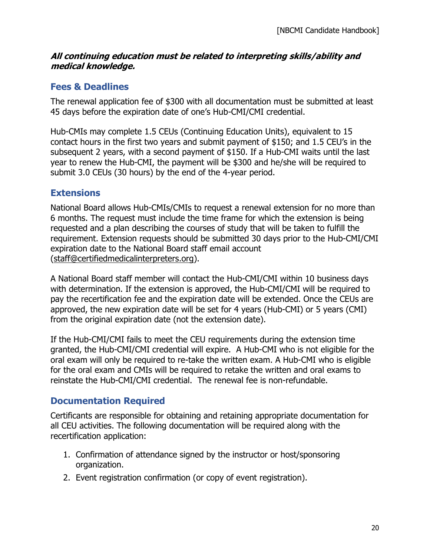#### **All continuing education must be related to interpreting skills/ability and medical knowledge.**

## **Fees & Deadlines**

The renewal application fee of \$300 with all documentation must be submitted at least 45 days before the expiration date of one's Hub-CMI/CMI credential.

Hub-CMIs may complete 1.5 CEUs (Continuing Education Units), equivalent to 15 contact hours in the first two years and submit payment of \$150; and 1.5 CEU's in the subsequent 2 years, with a second payment of \$150. If a Hub-CMI waits until the last year to renew the Hub-CMI, the payment will be \$300 and he/she will be required to submit 3.0 CEUs (30 hours) by the end of the 4-year period.

## **Extensions**

National Board allows Hub-CMIs/CMIs to request a renewal extension for no more than 6 months. The request must include the time frame for which the extension is being requested and a plan describing the courses of study that will be taken to fulfill the requirement. Extension requests should be submitted 30 days prior to the Hub-CMI/CMI expiration date to the National Board staff email account [\(staff@certifiedmedicalinterpreters.org\)](mailto:staff@certifiedmedicalinterpreters.org).

A National Board staff member will contact the Hub-CMI/CMI within 10 business days with determination. If the extension is approved, the Hub-CMI/CMI will be required to pay the recertification fee and the expiration date will be extended. Once the CEUs are approved, the new expiration date will be set for 4 years (Hub-CMI) or 5 years (CMI) from the original expiration date (not the extension date).

If the Hub-CMI/CMI fails to meet the CEU requirements during the extension time granted, the Hub-CMI/CMI credential will expire. A Hub-CMI who is not eligible for the oral exam will only be required to re-take the written exam. A Hub-CMI who is eligible for the oral exam and CMIs will be required to retake the written and oral exams to reinstate the Hub-CMI/CMI credential. The renewal fee is non-refundable.

## **Documentation Required**

Certificants are responsible for obtaining and retaining appropriate documentation for all CEU activities. The following documentation will be required along with the recertification application:

- 1. Confirmation of attendance signed by the instructor or host/sponsoring organization.
- 2. Event registration confirmation (or copy of event registration).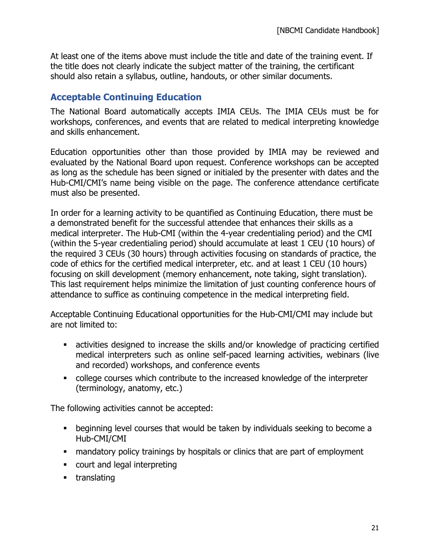At least one of the items above must include the title and date of the training event. If the title does not clearly indicate the subject matter of the training, the certificant should also retain a syllabus, outline, handouts, or other similar documents.

## **Acceptable Continuing Education**

The National Board automatically accepts IMIA CEUs. The IMIA CEUs must be for workshops, conferences, and events that are related to medical interpreting knowledge and skills enhancement.

Education opportunities other than those provided by IMIA may be reviewed and evaluated by the National Board upon request. Conference workshops can be accepted as long as the schedule has been signed or initialed by the presenter with dates and the Hub-CMI/CMI's name being visible on the page. The conference attendance certificate must also be presented.

In order for a learning activity to be quantified as Continuing Education, there must be a demonstrated benefit for the successful attendee that enhances their skills as a medical interpreter. The Hub-CMI (within the 4-year credentialing period) and the CMI (within the 5-year credentialing period) should accumulate at least 1 CEU (10 hours) of the required 3 CEUs (30 hours) through activities focusing on standards of practice, the code of ethics for the certified medical interpreter, etc. and at least 1 CEU (10 hours) focusing on skill development (memory enhancement, note taking, sight translation). This last requirement helps minimize the limitation of just counting conference hours of attendance to suffice as continuing competence in the medical interpreting field.

Acceptable Continuing Educational opportunities for the Hub-CMI/CMI may include but are not limited to:

- **EXECT** activities designed to increase the skills and/or knowledge of practicing certified medical interpreters such as online self-paced learning activities, webinars (live and recorded) workshops, and conference events
- college courses which contribute to the increased knowledge of the interpreter (terminology, anatomy, etc.)

The following activities cannot be accepted:

- beginning level courses that would be taken by individuals seeking to become a Hub-CMI/CMI
- mandatory policy trainings by hospitals or clinics that are part of employment
- court and legal interpreting
- **•** translating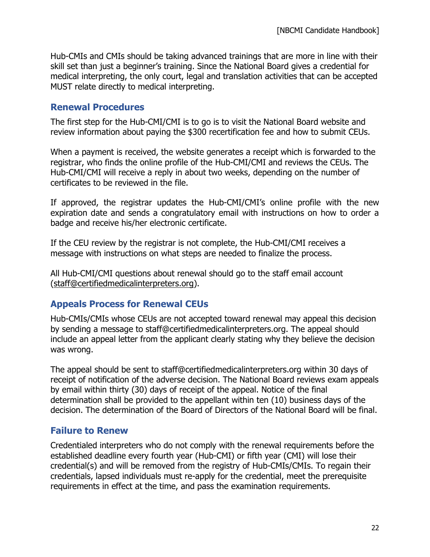Hub-CMIs and CMIs should be taking advanced trainings that are more in line with their skill set than just a beginner's training. Since the National Board gives a credential for medical interpreting, the only court, legal and translation activities that can be accepted MUST relate directly to medical interpreting.

#### **Renewal Procedures**

The first step for the Hub-CMI/CMI is to go is to visit the National Board website and review information about paying the \$300 recertification fee and how to submit CEUs.

When a payment is received, the website generates a receipt which is forwarded to the registrar, who finds the online profile of the Hub-CMI/CMI and reviews the CEUs. The Hub-CMI/CMI will receive a reply in about two weeks, depending on the number of certificates to be reviewed in the file.

If approved, the registrar updates the Hub-CMI/CMI's online profile with the new expiration date and sends a congratulatory email with instructions on how to order a badge and receive his/her electronic certificate.

If the CEU review by the registrar is not complete, the Hub-CMI/CMI receives a message with instructions on what steps are needed to finalize the process.

All Hub-CMI/CMI questions about renewal should go to the staff email account [\(staff@certifiedmedicalinterpreters.org\)](mailto:staff@certifiedmedicalinterpreters.org).

#### **Appeals Process for Renewal CEUs**

Hub-CMIs/CMIs whose CEUs are not accepted toward renewal may appeal this decision by sending a message to staff@certifiedmedicalinterpreters.org. The appeal should include an appeal letter from the applicant clearly stating why they believe the decision was wrong.

The appeal should be sent to staff@certifiedmedicalinterpreters.org within 30 days of receipt of notification of the adverse decision. The National Board reviews exam appeals by email within thirty (30) days of receipt of the appeal. Notice of the final determination shall be provided to the appellant within ten (10) business days of the decision. The determination of the Board of Directors of the National Board will be final.

#### **Failure to Renew**

Credentialed interpreters who do not comply with the renewal requirements before the established deadline every fourth year (Hub-CMI) or fifth year (CMI) will lose their credential(s) and will be removed from the registry of Hub-CMIs/CMIs. To regain their credentials, lapsed individuals must re-apply for the credential, meet the prerequisite requirements in effect at the time, and pass the examination requirements.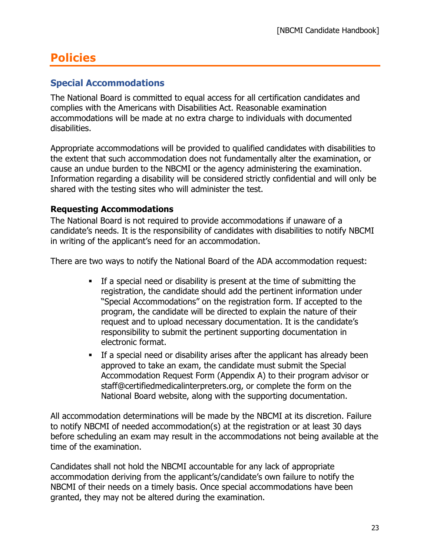# **Policies**

## **Special Accommodations**

The National Board is committed to equal access for all certification candidates and complies with the Americans with Disabilities Act. Reasonable examination accommodations will be made at no extra charge to individuals with documented disabilities.

Appropriate accommodations will be provided to qualified candidates with disabilities to the extent that such accommodation does not fundamentally alter the examination, or cause an undue burden to the NBCMI or the agency administering the examination. Information regarding a disability will be considered strictly confidential and will only be shared with the testing sites who will administer the test.

#### **Requesting Accommodations**

The National Board is not required to provide accommodations if unaware of a candidate's needs. It is the responsibility of candidates with disabilities to notify NBCMI in writing of the applicant's need for an accommodation.

There are two ways to notify the National Board of the ADA accommodation request:

- If a special need or disability is present at the time of submitting the registration, the candidate should add the pertinent information under "Special Accommodations" on the registration form. If accepted to the program, the candidate will be directed to explain the nature of their request and to upload necessary documentation. It is the candidate's responsibility to submit the pertinent supporting documentation in electronic format.
- **•** If a special need or disability arises after the applicant has already been approved to take an exam, the candidate must submit the Special Accommodation Request Form (Appendix A) to their program advisor or staff@certifiedmedicalinterpreters.org, or complete the form on the National Board website, along with the supporting documentation.

All accommodation determinations will be made by the NBCMI at its discretion. Failure to notify NBCMI of needed accommodation(s) at the registration or at least 30 days before scheduling an exam may result in the accommodations not being available at the time of the examination.

Candidates shall not hold the NBCMI accountable for any lack of appropriate accommodation deriving from the applicant's/candidate's own failure to notify the NBCMI of their needs on a timely basis. Once special accommodations have been granted, they may not be altered during the examination.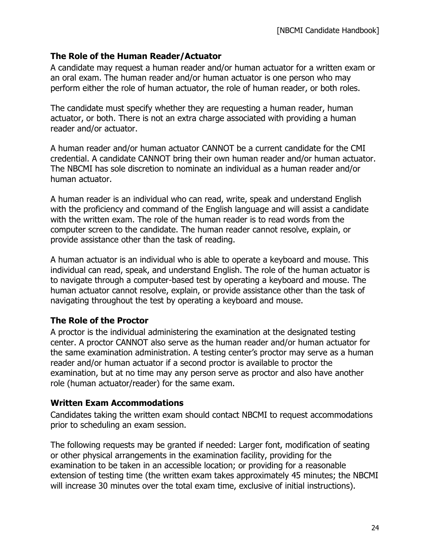#### **The Role of the Human Reader/Actuator**

A candidate may request a human reader and/or human actuator for a written exam or an oral exam. The human reader and/or human actuator is one person who may perform either the role of human actuator, the role of human reader, or both roles.

The candidate must specify whether they are requesting a human reader, human actuator, or both. There is not an extra charge associated with providing a human reader and/or actuator.

A human reader and/or human actuator CANNOT be a current candidate for the CMI credential. A candidate CANNOT bring their own human reader and/or human actuator. The NBCMI has sole discretion to nominate an individual as a human reader and/or human actuator.

A human reader is an individual who can read, write, speak and understand English with the proficiency and command of the English language and will assist a candidate with the written exam. The role of the human reader is to read words from the computer screen to the candidate. The human reader cannot resolve, explain, or provide assistance other than the task of reading.

A human actuator is an individual who is able to operate a keyboard and mouse. This individual can read, speak, and understand English. The role of the human actuator is to navigate through a computer-based test by operating a keyboard and mouse. The human actuator cannot resolve, explain, or provide assistance other than the task of navigating throughout the test by operating a keyboard and mouse.

#### **The Role of the Proctor**

A proctor is the individual administering the examination at the designated testing center. A proctor CANNOT also serve as the human reader and/or human actuator for the same examination administration. A testing center's proctor may serve as a human reader and/or human actuator if a second proctor is available to proctor the examination, but at no time may any person serve as proctor and also have another role (human actuator/reader) for the same exam.

#### **Written Exam Accommodations**

Candidates taking the written exam should contact NBCMI to request accommodations prior to scheduling an exam session.

The following requests may be granted if needed: Larger font, modification of seating or other physical arrangements in the examination facility, providing for the examination to be taken in an accessible location; or providing for a reasonable extension of testing time (the written exam takes approximately 45 minutes; the NBCMI will increase 30 minutes over the total exam time, exclusive of initial instructions).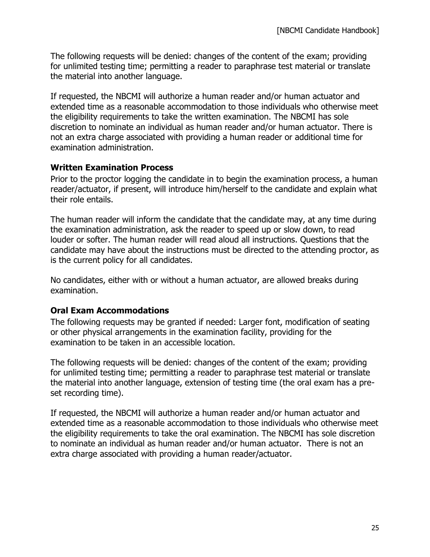The following requests will be denied: changes of the content of the exam; providing for unlimited testing time; permitting a reader to paraphrase test material or translate the material into another language.

If requested, the NBCMI will authorize a human reader and/or human actuator and extended time as a reasonable accommodation to those individuals who otherwise meet the eligibility requirements to take the written examination. The NBCMI has sole discretion to nominate an individual as human reader and/or human actuator. There is not an extra charge associated with providing a human reader or additional time for examination administration.

#### **Written Examination Process**

Prior to the proctor logging the candidate in to begin the examination process, a human reader/actuator, if present, will introduce him/herself to the candidate and explain what their role entails.

The human reader will inform the candidate that the candidate may, at any time during the examination administration, ask the reader to speed up or slow down, to read louder or softer. The human reader will read aloud all instructions. Questions that the candidate may have about the instructions must be directed to the attending proctor, as is the current policy for all candidates.

No candidates, either with or without a human actuator, are allowed breaks during examination.

#### **Oral Exam Accommodations**

The following requests may be granted if needed: Larger font, modification of seating or other physical arrangements in the examination facility, providing for the examination to be taken in an accessible location.

The following requests will be denied: changes of the content of the exam; providing for unlimited testing time; permitting a reader to paraphrase test material or translate the material into another language, extension of testing time (the oral exam has a preset recording time).

If requested, the NBCMI will authorize a human reader and/or human actuator and extended time as a reasonable accommodation to those individuals who otherwise meet the eligibility requirements to take the oral examination. The NBCMI has sole discretion to nominate an individual as human reader and/or human actuator. There is not an extra charge associated with providing a human reader/actuator.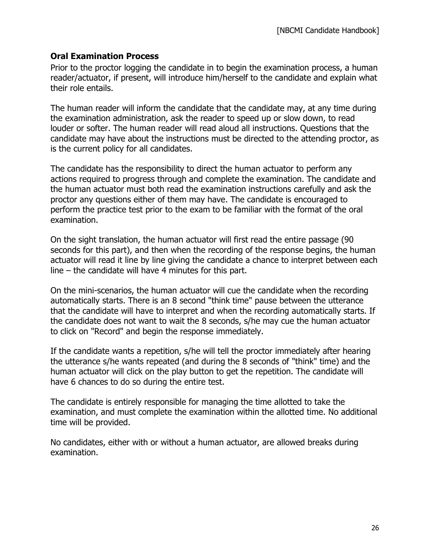#### **Oral Examination Process**

Prior to the proctor logging the candidate in to begin the examination process, a human reader/actuator, if present, will introduce him/herself to the candidate and explain what their role entails.

The human reader will inform the candidate that the candidate may, at any time during the examination administration, ask the reader to speed up or slow down, to read louder or softer. The human reader will read aloud all instructions. Questions that the candidate may have about the instructions must be directed to the attending proctor, as is the current policy for all candidates.

The candidate has the responsibility to direct the human actuator to perform any actions required to progress through and complete the examination. The candidate and the human actuator must both read the examination instructions carefully and ask the proctor any questions either of them may have. The candidate is encouraged to perform the practice test prior to the exam to be familiar with the format of the oral examination.

On the sight translation, the human actuator will first read the entire passage (90 seconds for this part), and then when the recording of the response begins, the human actuator will read it line by line giving the candidate a chance to interpret between each line – the candidate will have 4 minutes for this part.

On the mini-scenarios, the human actuator will cue the candidate when the recording automatically starts. There is an 8 second "think time" pause between the utterance that the candidate will have to interpret and when the recording automatically starts. If the candidate does not want to wait the 8 seconds, s/he may cue the human actuator to click on "Record" and begin the response immediately.

If the candidate wants a repetition, s/he will tell the proctor immediately after hearing the utterance s/he wants repeated (and during the 8 seconds of "think" time) and the human actuator will click on the play button to get the repetition. The candidate will have 6 chances to do so during the entire test.

The candidate is entirely responsible for managing the time allotted to take the examination, and must complete the examination within the allotted time. No additional time will be provided.

No candidates, either with or without a human actuator, are allowed breaks during examination.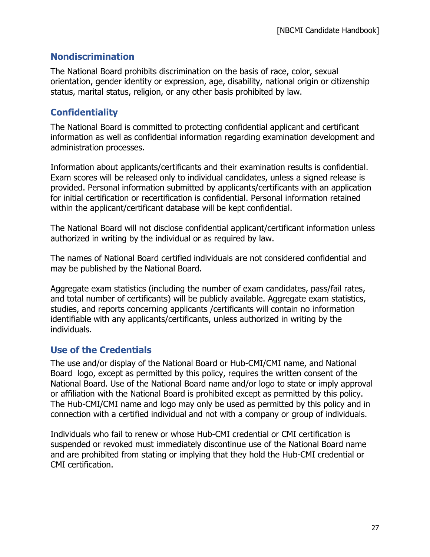### **Nondiscrimination**

The National Board prohibits discrimination on the basis of race, color, sexual orientation, gender identity or expression, age, disability, national origin or citizenship status, marital status, religion, or any other basis prohibited by law.

## **Confidentiality**

The National Board is committed to protecting confidential applicant and certificant information as well as confidential information regarding examination development and administration processes.

Information about applicants/certificants and their examination results is confidential. Exam scores will be released only to individual candidates, unless a signed release is provided. Personal information submitted by applicants/certificants with an application for initial certification or recertification is confidential. Personal information retained within the applicant/certificant database will be kept confidential.

The National Board will not disclose confidential applicant/certificant information unless authorized in writing by the individual or as required by law.

The names of National Board certified individuals are not considered confidential and may be published by the National Board.

Aggregate exam statistics (including the number of exam candidates, pass/fail rates, and total number of certificants) will be publicly available. Aggregate exam statistics, studies, and reports concerning applicants /certificants will contain no information identifiable with any applicants/certificants, unless authorized in writing by the individuals.

## **Use of the Credentials**

The use and/or display of the National Board or Hub-CMI/CMI name, and National Board logo, except as permitted by this policy, requires the written consent of the National Board. Use of the National Board name and/or logo to state or imply approval or affiliation with the National Board is prohibited except as permitted by this policy. The Hub-CMI/CMI name and logo may only be used as permitted by this policy and in connection with a certified individual and not with a company or group of individuals.

Individuals who fail to renew or whose Hub-CMI credential or CMI certification is suspended or revoked must immediately discontinue use of the National Board name and are prohibited from stating or implying that they hold the Hub-CMI credential or CMI certification.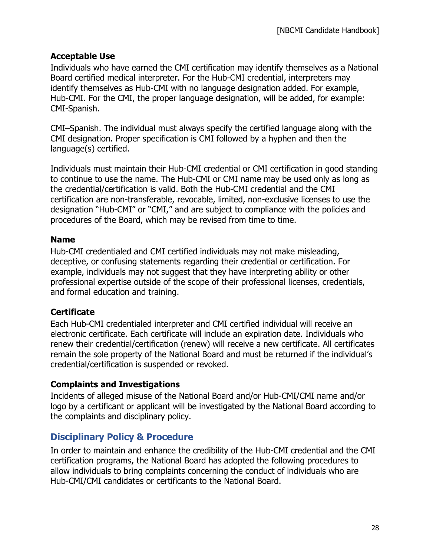#### **Acceptable Use**

Individuals who have earned the CMI certification may identify themselves as a National Board certified medical interpreter. For the Hub-CMI credential, interpreters may identify themselves as Hub-CMI with no language designation added. For example, Hub-CMI. For the CMI, the proper language designation, will be added, for example: CMI-Spanish.

CMI–Spanish. The individual must always specify the certified language along with the CMI designation. Proper specification is CMI followed by a hyphen and then the language(s) certified.

Individuals must maintain their Hub-CMI credential or CMI certification in good standing to continue to use the name. The Hub-CMI or CMI name may be used only as long as the credential/certification is valid. Both the Hub-CMI credential and the CMI certification are non-transferable, revocable, limited, non-exclusive licenses to use the designation "Hub-CMI" or "CMI," and are subject to compliance with the policies and procedures of the Board, which may be revised from time to time.

#### **Name**

Hub-CMI credentialed and CMI certified individuals may not make misleading, deceptive, or confusing statements regarding their credential or certification. For example, individuals may not suggest that they have interpreting ability or other professional expertise outside of the scope of their professional licenses, credentials, and formal education and training.

## **Certificate**

Each Hub-CMI credentialed interpreter and CMI certified individual will receive an electronic certificate. Each certificate will include an expiration date. Individuals who renew their credential/certification (renew) will receive a new certificate. All certificates remain the sole property of the National Board and must be returned if the individual's credential/certification is suspended or revoked.

#### **Complaints and Investigations**

Incidents of alleged misuse of the National Board and/or Hub-CMI/CMI name and/or logo by a certificant or applicant will be investigated by the National Board according to the complaints and disciplinary policy.

## **Disciplinary Policy & Procedure**

In order to maintain and enhance the credibility of the Hub-CMI credential and the CMI certification programs, the National Board has adopted the following procedures to allow individuals to bring complaints concerning the conduct of individuals who are Hub-CMI/CMI candidates or certificants to the National Board.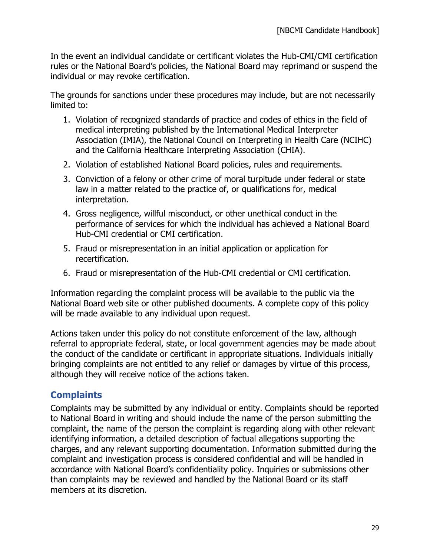In the event an individual candidate or certificant violates the Hub-CMI/CMI certification rules or the National Board's policies, the National Board may reprimand or suspend the individual or may revoke certification.

The grounds for sanctions under these procedures may include, but are not necessarily limited to:

- 1. Violation of recognized standards of practice and codes of ethics in the field of medical interpreting published by the International Medical Interpreter Association (IMIA), the National Council on Interpreting in Health Care (NCIHC) and the California Healthcare Interpreting Association (CHIA).
- 2. Violation of established National Board policies, rules and requirements.
- 3. Conviction of a felony or other crime of moral turpitude under federal or state law in a matter related to the practice of, or qualifications for, medical interpretation.
- 4. Gross negligence, willful misconduct, or other unethical conduct in the performance of services for which the individual has achieved a National Board Hub-CMI credential or CMI certification.
- 5. Fraud or misrepresentation in an initial application or application for recertification.
- 6. Fraud or misrepresentation of the Hub-CMI credential or CMI certification.

Information regarding the complaint process will be available to the public via the National Board web site or other published documents. A complete copy of this policy will be made available to any individual upon request.

Actions taken under this policy do not constitute enforcement of the law, although referral to appropriate federal, state, or local government agencies may be made about the conduct of the candidate or certificant in appropriate situations. Individuals initially bringing complaints are not entitled to any relief or damages by virtue of this process, although they will receive notice of the actions taken.

## **Complaints**

Complaints may be submitted by any individual or entity. Complaints should be reported to National Board in writing and should include the name of the person submitting the complaint, the name of the person the complaint is regarding along with other relevant identifying information, a detailed description of factual allegations supporting the charges, and any relevant supporting documentation. Information submitted during the complaint and investigation process is considered confidential and will be handled in accordance with National Board's confidentiality policy. Inquiries or submissions other than complaints may be reviewed and handled by the National Board or its staff members at its discretion.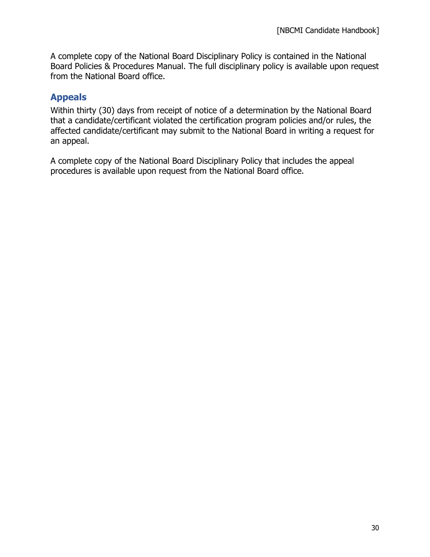A complete copy of the National Board Disciplinary Policy is contained in the National Board Policies & Procedures Manual. The full disciplinary policy is available upon request from the National Board office.

## **Appeals**

Within thirty (30) days from receipt of notice of a determination by the National Board that a candidate/certificant violated the certification program policies and/or rules, the affected candidate/certificant may submit to the National Board in writing a request for an appeal.

A complete copy of the National Board Disciplinary Policy that includes the appeal procedures is available upon request from the National Board office.